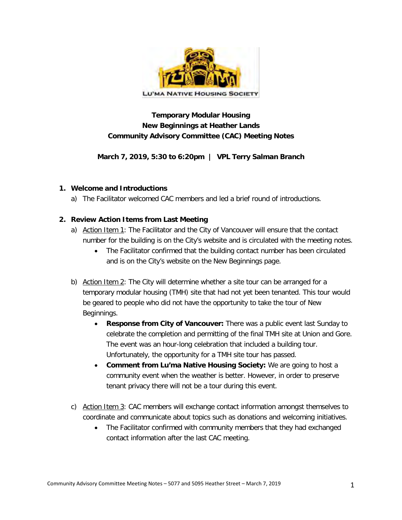

# **Temporary Modular Housing New Beginnings at Heather Lands Community Advisory Committee (CAC) Meeting Notes**

**March 7, 2019, 5:30 to 6:20pm | VPL Terry Salman Branch**

### **1. Welcome and Introductions**

a) The Facilitator welcomed CAC members and led a brief round of introductions.

### **2. Review Action Items from Last Meeting**

- a) Action Item 1: The Facilitator and the City of Vancouver will ensure that the contact number for the building is on the City's website and is circulated with the meeting notes.
	- The Facilitator confirmed that the building contact number has been circulated and is on the City's website on the New Beginnings page.
- b) Action Item 2: The City will determine whether a site tour can be arranged for a temporary modular housing (TMH) site that had not yet been tenanted. This tour would be geared to people who did not have the opportunity to take the tour of New Beginnings.
	- **Response from City of Vancouver:** There was a public event last Sunday to celebrate the completion and permitting of the final TMH site at Union and Gore. The event was an hour-long celebration that included a building tour. Unfortunately, the opportunity for a TMH site tour has passed.
	- **Comment from Lu'ma Native Housing Society:** We are going to host a community event when the weather is better. However, in order to preserve tenant privacy there will not be a tour during this event.
- c) Action Item 3: CAC members will exchange contact information amongst themselves to coordinate and communicate about topics such as donations and welcoming initiatives.
	- The Facilitator confirmed with community members that they had exchanged contact information after the last CAC meeting.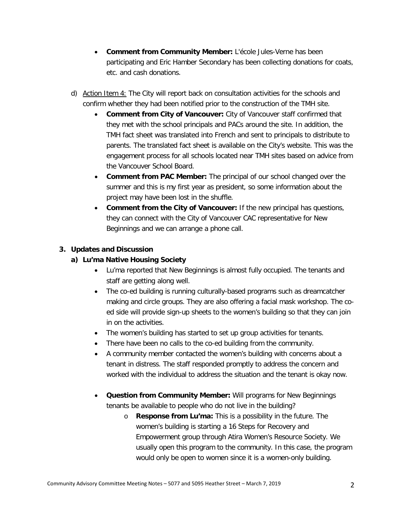- **Comment from Community Member:** L'école Jules-Verne has been participating and Eric Hamber Secondary has been collecting donations for coats, etc. and cash donations.
- d) Action Item 4: The City will report back on consultation activities for the schools and confirm whether they had been notified prior to the construction of the TMH site.
	- **Comment from City of Vancouver:** City of Vancouver staff confirmed that they met with the school principals and PACs around the site. In addition, the TMH fact sheet was translated into French and sent to principals to distribute to parents. The translated fact sheet is available on the City's website. This was the engagement process for all schools located near TMH sites based on advice from the Vancouver School Board.
	- **Comment from PAC Member:** The principal of our school changed over the summer and this is my first year as president, so some information about the project may have been lost in the shuffle.
	- **Comment from the City of Vancouver:** If the new principal has questions, they can connect with the City of Vancouver CAC representative for New Beginnings and we can arrange a phone call.

## **3. Updates and Discussion**

## **a) Lu'ma Native Housing Society**

- Lu'ma reported that New Beginnings is almost fully occupied. The tenants and staff are getting along well.
- The co-ed building is running culturally-based programs such as dreamcatcher making and circle groups. They are also offering a facial mask workshop. The coed side will provide sign-up sheets to the women's building so that they can join in on the activities.
- The women's building has started to set up group activities for tenants.
- There have been no calls to the co-ed building from the community.
- A community member contacted the women's building with concerns about a tenant in distress. The staff responded promptly to address the concern and worked with the individual to address the situation and the tenant is okay now.
- **Question from Community Member:** Will programs for New Beginnings tenants be available to people who do not live in the building?
	- o **Response from Lu'ma:** This is a possibility in the future. The women's building is starting a 16 Steps for Recovery and Empowerment group through Atira Women's Resource Society. We usually open this program to the community. In this case, the program would only be open to women since it is a women-only building.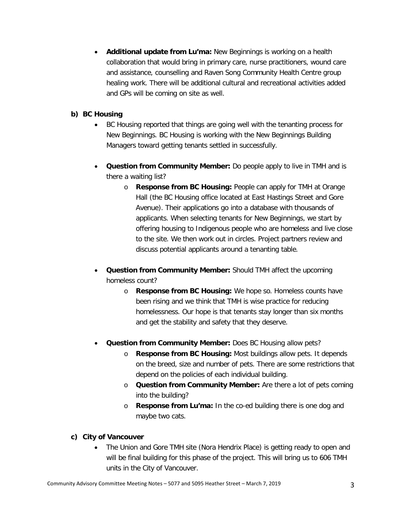• **Additional update from Lu'ma:** New Beginnings is working on a health collaboration that would bring in primary care, nurse practitioners, wound care and assistance, counselling and Raven Song Community Health Centre group healing work. There will be additional cultural and recreational activities added and GPs will be coming on site as well.

## **b) BC Housing**

- BC Housing reported that things are going well with the tenanting process for New Beginnings. BC Housing is working with the New Beginnings Building Managers toward getting tenants settled in successfully.
- **Question from Community Member:** Do people apply to live in TMH and is there a waiting list?
	- o **Response from BC Housing:** People can apply for TMH at Orange Hall (the BC Housing office located at East Hastings Street and Gore Avenue). Their applications go into a database with thousands of applicants. When selecting tenants for New Beginnings, we start by offering housing to Indigenous people who are homeless and live close to the site. We then work out in circles. Project partners review and discuss potential applicants around a tenanting table.
- **Question from Community Member:** Should TMH affect the upcoming homeless count?
	- o **Response from BC Housing:** We hope so. Homeless counts have been rising and we think that TMH is wise practice for reducing homelessness. Our hope is that tenants stay longer than six months and get the stability and safety that they deserve.
- **Question from Community Member:** Does BC Housing allow pets?
	- o **Response from BC Housing:** Most buildings allow pets. It depends on the breed, size and number of pets. There are some restrictions that depend on the policies of each individual building.
	- o **Question from Community Member:** Are there a lot of pets coming into the building?
	- o **Response from Lu'ma:** In the co-ed building there is one dog and maybe two cats.

# **c) City of Vancouver**

• The Union and Gore TMH site (Nora Hendrix Place) is getting ready to open and will be final building for this phase of the project. This will bring us to 606 TMH units in the City of Vancouver.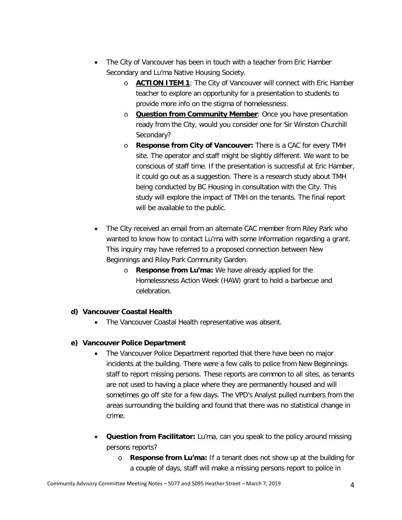- The City of Vancouver has been in touch with a teacher from Eric Hamber Secondary and Lu'ma Native Housing Society.
	- o **ACTION ITEM 1**: The City of Vancouver will connect with Eric Hamber teacher to explore an opportunity for a presentation to students to provide more info on the stigma of homelessness.
	- o **Question from Community Member**: Once you have presentation ready from the City, would you consider one for Sir Winston Churchill Secondary?
	- o **Response from City of Vancouver:** There is a CAC for every TMH site. The operator and staff might be slightly different. We want to be conscious of staff time. If the presentation is successful at Eric Hamber, it could go out as a suggestion. There is a research study about TMH being conducted by BC Housing in consultation with the City. This study will explore the impact of TMH on the tenants. The final report will be available to the public.
- The City received an email from an alternate CAC member from Riley Park who wanted to know how to contact Lu'ma with some information regarding a grant. This inquiry may have referred to a proposed connection between New Beginnings and Riley Park Community Garden.
	- o **Response from Lu'ma:** We have already applied for the Homelessness Action Week (HAW) grant to hold a barbecue and celebration.

#### **d) Vancouver Coastal Health**

• The Vancouver Coastal Health representative was absent.

#### **e) Vancouver Police Department**

- The Vancouver Police Department reported that there have been no major incidents at the building. There were a few calls to police from New Beginnings staff to report missing persons. These reports are common to all sites, as tenants are not used to having a place where they are permanently housed and will sometimes go off site for a few days. The VPD's Analyst pulled numbers from the areas surrounding the building and found that there was no statistical change in crime.
- **Question from Facilitator:** Lu'ma, can you speak to the policy around missing persons reports?
	- o **Response from Lu'ma:** If a tenant does not show up at the building for a couple of days, staff will make a missing persons report to police in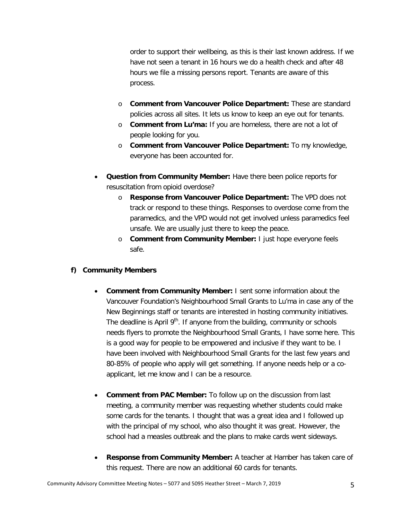order to support their wellbeing, as this is their last known address. If we have not seen a tenant in 16 hours we do a health check and after 48 hours we file a missing persons report. Tenants are aware of this process.

- o **Comment from Vancouver Police Department:** These are standard policies across all sites. It lets us know to keep an eye out for tenants.
- o **Comment from Lu'ma:** If you are homeless, there are not a lot of people looking for you.
- o **Comment from Vancouver Police Department:** To my knowledge, everyone has been accounted for.
- **Question from Community Member:** Have there been police reports for resuscitation from opioid overdose?
	- o **Response from Vancouver Police Department:** The VPD does not track or respond to these things. Responses to overdose come from the paramedics, and the VPD would not get involved unless paramedics feel unsafe. We are usually just there to keep the peace.
	- o **Comment from Community Member:** I just hope everyone feels safe.

## **f) Community Members**

- **Comment from Community Member:** I sent some information about the Vancouver Foundation's Neighbourhood Small Grants to Lu'ma in case any of the New Beginnings staff or tenants are interested in hosting community initiatives. The deadline is April  $9<sup>th</sup>$ . If anyone from the building, community or schools needs flyers to promote the Neighbourhood Small Grants, I have some here. This is a good way for people to be empowered and inclusive if they want to be. I have been involved with Neighbourhood Small Grants for the last few years and 80-85% of people who apply will get something. If anyone needs help or a coapplicant, let me know and I can be a resource.
- **Comment from PAC Member:** To follow up on the discussion from last meeting, a community member was requesting whether students could make some cards for the tenants. I thought that was a great idea and I followed up with the principal of my school, who also thought it was great. However, the school had a measles outbreak and the plans to make cards went sideways.
- **Response from Community Member:** A teacher at Hamber has taken care of this request. There are now an additional 60 cards for tenants.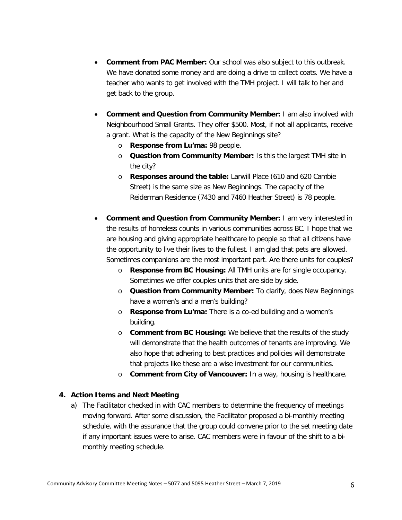- **Comment from PAC Member:** Our school was also subject to this outbreak. We have donated some money and are doing a drive to collect coats. We have a teacher who wants to get involved with the TMH project. I will talk to her and get back to the group.
- **Comment and Question from Community Member:** I am also involved with Neighbourhood Small Grants. They offer \$500. Most, if not all applicants, receive a grant. What is the capacity of the New Beginnings site?
	- o **Response from Lu'ma:** 98 people.
	- o **Question from Community Member:** Is this the largest TMH site in the city?
	- o **Responses around the table:** Larwill Place (610 and 620 Cambie Street) is the same size as New Beginnings. The capacity of the Reiderman Residence (7430 and 7460 Heather Street) is 78 people.
- **Comment and Question from Community Member:** I am very interested in the results of homeless counts in various communities across BC. I hope that we are housing and giving appropriate healthcare to people so that all citizens have the opportunity to live their lives to the fullest. I am glad that pets are allowed. Sometimes companions are the most important part. Are there units for couples?
	- o **Response from BC Housing:** All TMH units are for single occupancy. Sometimes we offer couples units that are side by side.
	- o **Question from Community Member:** To clarify, does New Beginnings have a women's and a men's building?
	- o **Response from Lu'ma:** There is a co-ed building and a women's building.
	- o **Comment from BC Housing:** We believe that the results of the study will demonstrate that the health outcomes of tenants are improving. We also hope that adhering to best practices and policies will demonstrate that projects like these are a wise investment for our communities.
	- o **Comment from City of Vancouver:** In a way, housing is healthcare.

#### **4. Action Items and Next Meeting**

a) The Facilitator checked in with CAC members to determine the frequency of meetings moving forward. After some discussion, the Facilitator proposed a bi-monthly meeting schedule, with the assurance that the group could convene prior to the set meeting date if any important issues were to arise. CAC members were in favour of the shift to a bimonthly meeting schedule.